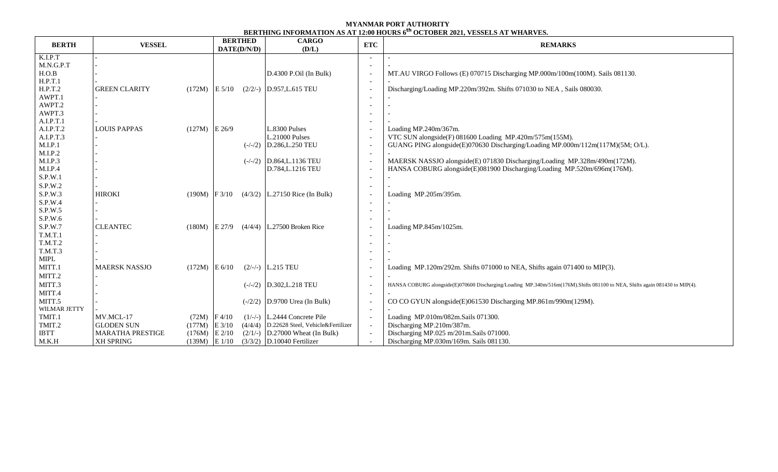## **MYANMAR PORT AUTHORITY BERTHING INFORMATION AS AT 12:00 HOURS 6 th OCTOBER 2021, VESSELS AT WHARVES.**

| <b>BERTH</b>   | <b>VESSEL</b>           | <b>BERTHED</b><br>DATE(D/N/D) |         | <b>CARGO</b><br>(D/L)                       | <b>ETC</b>               | <b>REMARKS</b>                                                                                                              |  |  |  |  |
|----------------|-------------------------|-------------------------------|---------|---------------------------------------------|--------------------------|-----------------------------------------------------------------------------------------------------------------------------|--|--|--|--|
| K.I.P.T        |                         |                               |         |                                             | $\overline{\phantom{a}}$ |                                                                                                                             |  |  |  |  |
| M.N.G.P.T      |                         |                               |         |                                             | $\overline{\phantom{a}}$ |                                                                                                                             |  |  |  |  |
| H.O.B          |                         |                               |         | D.4300 P.Oil (In Bulk)                      | $\overline{\phantom{a}}$ | MT.AU VIRGO Follows (E) 070715 Discharging MP.000m/100m(100M). Sails 081130.                                                |  |  |  |  |
| H.P.T.1        |                         |                               |         |                                             | $\overline{\phantom{a}}$ |                                                                                                                             |  |  |  |  |
| H.P.T.2        | <b>GREEN CLARITY</b>    | (172M)<br>$E$ 5/10            |         | $(2/2/-)$ D.957, L.615 TEU                  | $\overline{\phantom{a}}$ | Discharging/Loading MP.220m/392m. Shifts 071030 to NEA, Sails 080030.                                                       |  |  |  |  |
| AWPT.1         |                         |                               |         |                                             |                          |                                                                                                                             |  |  |  |  |
| AWPT.2         |                         |                               |         |                                             |                          |                                                                                                                             |  |  |  |  |
| AWPT.3         |                         |                               |         |                                             |                          |                                                                                                                             |  |  |  |  |
| A.I.P.T.1      |                         |                               |         |                                             |                          |                                                                                                                             |  |  |  |  |
| A.I.P.T.2      | <b>LOUIS PAPPAS</b>     | $(127M)$ E 26/9               |         | L.8300 Pulses                               | $\overline{\phantom{a}}$ | Loading MP.240m/367m.                                                                                                       |  |  |  |  |
| A.I.P.T.3      |                         |                               |         | L.21000 Pulses                              | $\overline{\phantom{a}}$ | VTC SUN alongside(F) 081600 Loading MP.420m/575m(155M).                                                                     |  |  |  |  |
| M.I.P.1        |                         |                               |         | $(-/-/2)$ D.286, L.250 TEU                  | $\overline{\phantom{a}}$ | GUANG PING alongside(E)070630 Discharging/Loading MP.000m/112m(117M)(5M; O/L).                                              |  |  |  |  |
| M.I.P.2        |                         |                               |         |                                             | $\overline{\phantom{a}}$ |                                                                                                                             |  |  |  |  |
| M.I.P.3        |                         |                               |         | $(-/-/2)$ D.864, L.1136 TEU                 | $\overline{\phantom{a}}$ | MAERSK NASSJO alongside(E) 071830 Discharging/Loading MP.328m/490m(172M).                                                   |  |  |  |  |
| M.I.P.4        |                         |                               |         | D.784, L.1216 TEU                           | $\overline{\phantom{a}}$ | HANSA COBURG alongside(E)081900 Discharging/Loading MP.520m/696m(176M).                                                     |  |  |  |  |
| S.P.W.1        |                         |                               |         |                                             | $\overline{\phantom{a}}$ |                                                                                                                             |  |  |  |  |
| S.P.W.2        |                         |                               |         |                                             | $\overline{\phantom{0}}$ |                                                                                                                             |  |  |  |  |
| S.P.W.3        | <b>HIROKI</b>           | $(190M)$ F 3/10               | (4/3/2) | $L.27150$ Rice (In Bulk)                    | $\overline{\phantom{a}}$ | Loading MP.205m/395m.                                                                                                       |  |  |  |  |
| S.P.W.4        |                         |                               |         |                                             | $\overline{\phantom{0}}$ |                                                                                                                             |  |  |  |  |
| S.P.W.5        |                         |                               |         |                                             |                          |                                                                                                                             |  |  |  |  |
| S.P.W.6        |                         |                               |         |                                             |                          |                                                                                                                             |  |  |  |  |
| S.P.W.7        | <b>CLEANTEC</b>         | $(180M)$ E 27/9               |         | $(4/4/4)$ L.27500 Broken Rice               | $\overline{\phantom{a}}$ | Loading MP.845m/1025m.                                                                                                      |  |  |  |  |
| T.M.T.1        |                         |                               |         |                                             |                          |                                                                                                                             |  |  |  |  |
| T.M.T.2        |                         |                               |         |                                             |                          |                                                                                                                             |  |  |  |  |
| <b>T.M.T.3</b> |                         |                               |         |                                             |                          |                                                                                                                             |  |  |  |  |
| <b>MIPL</b>    |                         |                               |         |                                             |                          |                                                                                                                             |  |  |  |  |
| MITT.1         | <b>MAERSK NASSJO</b>    | (172M)<br>E 6/10              |         | $(2/-/-)$ L.215 TEU                         | $\overline{\phantom{a}}$ | Loading MP.120m/292m. Shifts 071000 to NEA, Shifts again 071400 to MIP(3).                                                  |  |  |  |  |
| MITT.2         |                         |                               |         |                                             | $\overline{\phantom{a}}$ |                                                                                                                             |  |  |  |  |
| MITT.3         |                         |                               |         | $(-/-/2)$ D.302, L.218 TEU                  | $\overline{\phantom{a}}$ | HANSA COBURG alongside(E)070600 Discharging/Loading MP.340m/516m(176M).Shifts 081100 to NEA, Shifts again 081430 to MIP(4). |  |  |  |  |
| MITT.4         |                         |                               |         |                                             |                          |                                                                                                                             |  |  |  |  |
| MITT.5         |                         |                               |         | $(-/2/2)$ D.9700 Urea (In Bulk)             | $\overline{\phantom{a}}$ | CO CO GYUN alongside(E)061530 Discharging MP.861m/990m(129M).                                                               |  |  |  |  |
| WILMAR JETTY   |                         |                               |         |                                             | $\overline{\phantom{a}}$ |                                                                                                                             |  |  |  |  |
| TMIT.1         | MV.MCL-17               | $(72M)$ F 4/10                |         | $(1/-)$ L.2444 Concrete Pile                | $\overline{\phantom{a}}$ | Loading MP.010m/082m.Sails 071300.                                                                                          |  |  |  |  |
| TMIT.2         | <b>GLODEN SUN</b>       | (177M)<br>E 3/10              |         | $(4/4/4)$ D.22628 Steel, Vehicle&Fertilizer | $\overline{\phantom{a}}$ | Discharging MP.210m/387m.                                                                                                   |  |  |  |  |
| <b>IBTT</b>    | <b>MARATHA PRESTIGE</b> | $E$ 2/10<br>(176M)            |         | $(2/1/-)$ D.27000 Wheat (In Bulk)           | $\overline{\phantom{a}}$ | Discharging MP.025 m/201m.Sails 071000.                                                                                     |  |  |  |  |
| M.K.H          | <b>XH SPRING</b>        | $(139M)$ E 1/10               |         | $(3/3/2)$ D.10040 Fertilizer                | $\sim$                   | Discharging MP.030m/169m. Sails 081130.                                                                                     |  |  |  |  |